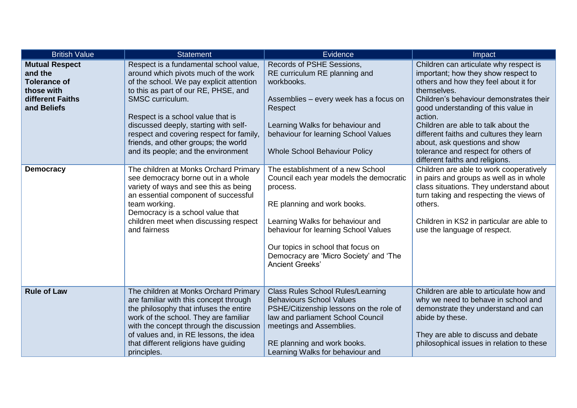| <b>British Value</b>                                                                                     | <b>Statement</b>                                                                                                                                                                                                                                                                                                                                                                                | Evidence                                                                                                                                                                                                                                                                                                      | Impact                                                                                                                                                                                                                                                                                                                                                                                                                           |
|----------------------------------------------------------------------------------------------------------|-------------------------------------------------------------------------------------------------------------------------------------------------------------------------------------------------------------------------------------------------------------------------------------------------------------------------------------------------------------------------------------------------|---------------------------------------------------------------------------------------------------------------------------------------------------------------------------------------------------------------------------------------------------------------------------------------------------------------|----------------------------------------------------------------------------------------------------------------------------------------------------------------------------------------------------------------------------------------------------------------------------------------------------------------------------------------------------------------------------------------------------------------------------------|
| <b>Mutual Respect</b><br>and the<br><b>Tolerance of</b><br>those with<br>different Faiths<br>and Beliefs | Respect is a fundamental school value,<br>around which pivots much of the work<br>of the school. We pay explicit attention<br>to this as part of our RE, PHSE, and<br>SMSC curriculum.<br>Respect is a school value that is<br>discussed deeply, starting with self-<br>respect and covering respect for family,<br>friends, and other groups; the world<br>and its people; and the environment | Records of PSHE Sessions,<br>RE curriculum RE planning and<br>workbooks.<br>Assemblies - every week has a focus on<br>Respect<br>Learning Walks for behaviour and<br>behaviour for learning School Values<br><b>Whole School Behaviour Policy</b>                                                             | Children can articulate why respect is<br>important; how they show respect to<br>others and how they feel about it for<br>themselves.<br>Children's behaviour demonstrates their<br>good understanding of this value in<br>action.<br>Children are able to talk about the<br>different faiths and cultures they learn<br>about, ask questions and show<br>tolerance and respect for others of<br>different faiths and religions. |
| <b>Democracy</b>                                                                                         | The children at Monks Orchard Primary<br>see democracy borne out in a whole<br>variety of ways and see this as being<br>an essential component of successful<br>team working.<br>Democracy is a school value that<br>children meet when discussing respect<br>and fairness                                                                                                                      | The establishment of a new School<br>Council each year models the democratic<br>process.<br>RE planning and work books.<br>Learning Walks for behaviour and<br>behaviour for learning School Values<br>Our topics in school that focus on<br>Democracy are 'Micro Society' and 'The<br><b>Ancient Greeks'</b> | Children are able to work cooperatively<br>in pairs and groups as well as in whole<br>class situations. They understand about<br>turn taking and respecting the views of<br>others.<br>Children in KS2 in particular are able to<br>use the language of respect.                                                                                                                                                                 |
| <b>Rule of Law</b>                                                                                       | The children at Monks Orchard Primary<br>are familiar with this concept through<br>the philosophy that infuses the entire<br>work of the school. They are familiar<br>with the concept through the discussion<br>of values and, in RE lessons, the idea<br>that different religions have guiding<br>principles.                                                                                 | <b>Class Rules School Rules/Learning</b><br><b>Behaviours School Values</b><br>PSHE/Citizenship lessons on the role of<br>law and parliament School Council<br>meetings and Assemblies.<br>RE planning and work books.<br>Learning Walks for behaviour and                                                    | Children are able to articulate how and<br>why we need to behave in school and<br>demonstrate they understand and can<br>abide by these.<br>They are able to discuss and debate<br>philosophical issues in relation to these                                                                                                                                                                                                     |